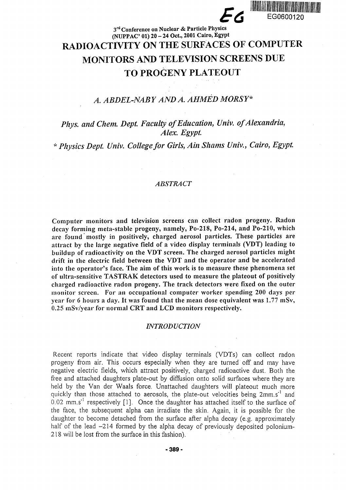

# 3<sup>rd</sup> Conference on Nuclear & Particle Physics (NUPPAC' 01) 20 - 24 Oct., 2001 Cairo, Egypt RADIOACTIVITY ON THE SURFACES OF COMPUTER MONITORS AND TELEVISION SCREENS DUE TO PROGENY PLATEOUT

## *A. ABDEL-NABY AND A. AHMED MORSY\**

## *Phys. and Chem. Dept. Faculty of Education, Univ. of Alexandria, Alex. Egypt.*

\* *Physics Dept. Univ. College for Girls, Ain Shams Univ., Cairo, Egypt.*

#### *ABSTRACT*

**Computer monitors and television screens can collect radon progeny. Radon decay forming meta-stable progeny, namely, Po-218, Po-214, and Po-210, which are found mostly in positively, charged aerosol particles. These particles are attract by the large negative field of a video display terminals (VDT) leading to buildup of radioactivity on the VDT screen. The charged aerosol particles might drift in the electric field between the VDT and the operator and be accelerated into the operator's face. The aim of this work is to measure these phenomena** *set* **of ultra-sensitive TASTRAK detectors used to measure the plateout of positively charged radioactive radon progeny. The track detectors were fixed on the outer monitor screen. For an occupational computer worker spending 200 days per year for 6 hours a day. It was found that the mean dose equivalent was 1.77 mSv, 0.25 mSv/year for normal CRT and LCD monitors respectively.**

#### *INTRODUCTION*

Recent reports indicate that video display terminals (VDTs) can collect radon progeny from air. This occurs especially when they are turned off and may have negative electric fields, which attract positively, charged radioactive dust. Both the free and attached daughters plate-out by diffusion onto solid surfaces where they are held by the Van der Waals force. Unattached daughters will plateout much more quickly than those attached to aerosols, the plate-out velocities being 2mm.s<sup>-1</sup> and 0.02 mm.s<sup>-1</sup> respectively [1]. Once the daughter has attached itself to the surface of the face, the subsequent alpha can irradiate the skin. Again, it is possible for the daughter to become detached from the surface after alpha decay (e.g. approximately half of the lead  $-214$  formed by the alpha decay of previously deposited polonium-218 will be lost from the surface in this fashion).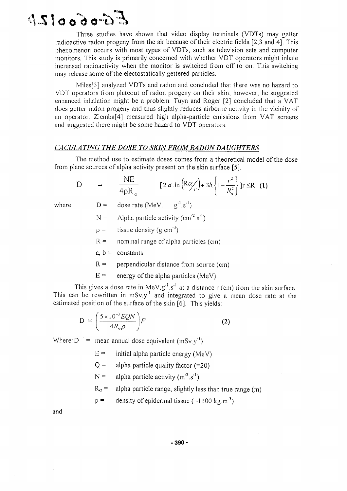

Three studies have shown that video display terminals (VDTs) may getter radioactive radon progeny from the air because of their electric fields [2,3 and 4]. This phenomenon occurs with most types of VDTs, such as television sets and computer monitors. This study is primarily concerned with whether VDT operators might inhale increased radioactivity when the monitor is switched from off to on. This switching may release some of the electostatically gettered particles.

Miles[3] analyzed VDTs and radon and concluded that there was no hazard to VDT operators from plateout of radon progeny on their skin; however, he suggested enhanced inhalation might be a problem. Tuyn and Roger [2] concluded that a VAT does getter radon progeny and thus slightly reduces airborne activity in the vicinity of an operator. Ziemba[4] measured high alpha-particle emissions from VAT screens and suggested there might be some hazard to VDT operators.

### *CA CULA TING THE DOSE TO SKIN FROM RADON DA UGHTERS*

The method use to estimate doses comes from a theoretical model of the dose from plane sources of alpha activity present on the skin surface [5].

$$
D = \frac{NE}{4\rho R_{\alpha}} \qquad [2.a.\ln\left(R\alpha_{r}\right) + 3b.\left\{1 - \frac{r^{2}}{R_{\alpha}^{2}}\right\}]\mathbf{r} \leq R \quad (1)
$$

- where  $D =$  dose rate (MeV.  $g^{-1}.s^{-1}$ )
	- $N =$  Alpha particle activity (cm<sup>-2</sup> s<sup>-1</sup>)
	- $p =$  tissue density (g.cm<sup>-3</sup>)
	- $R =$  nominal range of alpha particles (cm)
	- a,  $b =$  constants
	- $R =$  perpendicular distance from source (cm)
	- $E =$  energy of the alpha particles (MeV).

This gives a dose rate in MeV.g<sup>-1</sup> s<sup>-1</sup> at a distance r (cm) from the skin surface. This can be rewritten in mSv.y<sup>-1</sup> and integrated to give a mean dose rate at the estimated position of the surface of the skin [6]. This yields:

$$
D = \left(\frac{5 \times 10^{-3} EQN}{4R_a \rho}\right) F \tag{2}
$$

Where:  $D =$  mean annual dose equivalent (mSv.y<sup>-1</sup>)

- $E =$  initial alpha particle energy (MeV)
- $Q =$  alpha particle quality factor (=20)
- $N =$  alpha particle activity (m<sup>-2</sup>.s<sup>-1</sup>)

 $R_{\alpha}$  = alpha particle range, slightly less than true range (m)

$$
\rho = \text{density of epidermal tissue (=1100 kg.m}^3)
$$

and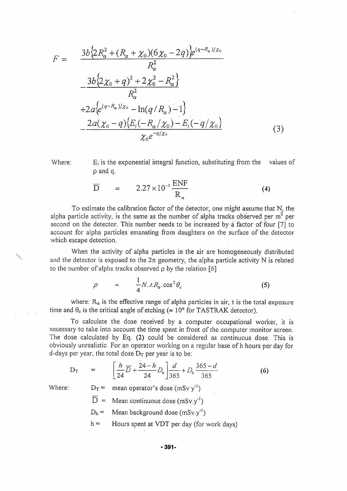$$
F = \frac{3b\{2R_{\alpha}^{2} + (R_{\alpha} + \chi_{0})(6\chi_{0} - 2q)\}e^{(q-R_{\alpha})/\chi_{0}}}{R_{\alpha}^{2}}
$$

$$
- \frac{3b\{2\chi_{0} + q\}^{2} + 2\chi_{0}^{2} - R_{\alpha}^{2}\}}{R_{\alpha}^{2}}
$$

$$
+ 2a\{e^{(q-R_{\alpha})/\chi_{0}} - \ln(q/R_{\alpha}) - 1\}
$$

$$
- \frac{2a(\chi_{0} - q)\{E_{i}(-R_{\alpha}/\chi_{0}) - E_{i}(-q/\chi_{0})\}}{\chi_{0}e^{-q/\chi_{0}}}
$$
(3)

Where:  $E_i$  is the exponential integral function, substituting from the p and q. values of

$$
\overline{D} = 2.27 \times 10^{-5} \frac{\text{ENF}}{R_{\alpha}}
$$
 (4)

To estimate the calibration factor of the detector, one might assume that N, the alpha particle activity, is the same as the number of alpha tracks observed per  $m^2$  per second on the detector. This number needs to be increased by a factor of four [7] to account for alpha particles emanating from daughters on the surface of the detector which escape detection.

When the activity of alpha particles in the air are homogeneously distributed and the detector is exposed to the  $2\pi$  geometry, the alpha particle activity N is related to the number of alpha tracks observed  $\rho$  by the relation [6]

$$
\rho = \frac{1}{4} N_{\cdot \cdot} t R_a \cdot \cos^2 \theta_c \tag{5}
$$

where:  $R_{\alpha}$  is the effective range of alpha particles in air, t is the total exposure time and  $\theta_c$  is the critical angle of etching ( $\approx 10^\circ$  for TASTRAK detector).

To calculate the dose received by a computer occupational worker, it is necessary to take into account the time spent in front of the computer monitor screen. The dose calculated by Eq. (2) could be considered as continuous dose. This is obviously unrealistic. For an operator working on a regular base of h hours per day for d-days per year, the total dose  $D_T$  per year is to be:

$$
D_T = \left[\frac{h}{24}\overline{D} + \frac{24-h}{24}D_b\right]\frac{d}{365} + D_b\frac{365-d}{365}
$$
 (6)

Where:  $D_T =$ 

mean operator's dose (mSv y $^{-1}$ )

- $D =$  Mean continuous dose (mSv.y<sup>-1</sup>)
- $D_b$  = Mean background dose (mSv.y<sup>-1</sup>)
- $h =$ Hours spent at VDT per day (for work days)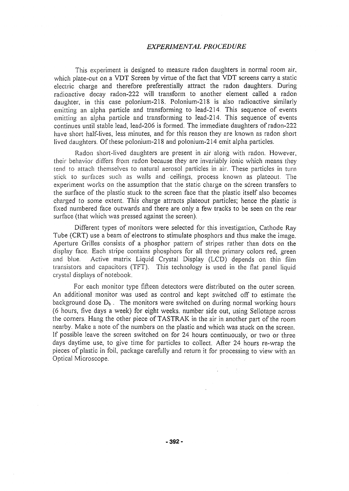## *EXPERIMENTAL PROCEDURE*

This experiment is designed to measure radon daughters in normal room air, which plate-out on a VDT Screen by virtue of the fact that VDT screens carry a static electric charge and therefore preferentially attract the radon daughters. During radioactive decay radon-222 will transform to another element called a radon daughter, in this case polonium-218. Polonium-218 is also radioactive similarly emitting an alpha particle and transforming to lead-214. This sequence of events emitting an alpha particle and transforming to Iead-214. This sequence of events continues until stable lead, lead-206 is formed. The immediate daughters of radon-222 have short half-lives, less minutes, and for this reason they are known as radon short lived daughters. Of these polonium-218 and polonium-214 emit alpha particles.

Radon short-lived daughters are present in air along with radon. However, their behavior differs from radon because they are invariably ionic which means they tend to attach themselves to natural aerosol particles in air. These particles in turn stick to surfaces such as walls and ceilings, process known as plateout. The experiment works on the assumption that the static charge on the screen transfers to the surface of the plastic stuck to the screen face that the plastic itself also becomes charged to some extent. This charge attracts plateout particles; hence the plastic is fixed numbered face outwards and there are only a few tracks to be seen on the rear surface (that which was pressed against the screen).

Different types of monitors were selected for this investigation, Cathode Ray Tube (CRT) use a beam of electrons to stimulate phosphors and thus make the image. Aperture Grilles consists of a phosphor pattern of stripes rather than dots on the display face. Each stripe contains phosphors for all three primary colors red, green and blue. Active matrix Liquid Crystal Display (LCD) depends on thin film transistors and capacitors (TFT). This technology is used in the flat panel liquid crystal displays of notebook.

For each monitor type fifteen detectors were distributed on the outer screen. An additional monitor was used as control and kept switched off to estimate the background dose  $D_b$ . The monitors were switched on during normal working hours (6 hours, five days a week) for eight weeks, number side out, using Sellotape across the corners. Hang the other piece of TASTRAK in the air in another part of the room nearby. Make a note of the numbers on the plastic and which was stuck on the screen. If possible leave the screen switched on for 24 hours continuously, or two or three days daytime use, to give time for particles to collect. After 24 hours re-wrap the pieces of plastic in foil, package carefully and return it for processing to view with an Optical Microscope.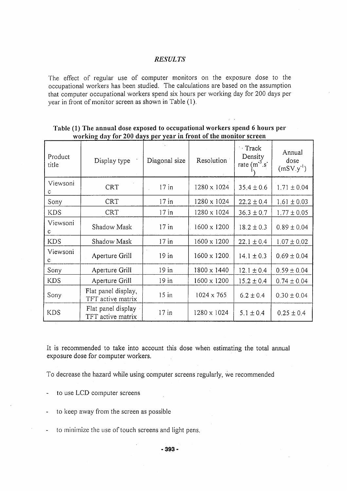#### *RESULTS*

The effect of regular use of computer monitors on the exposure dose to the occupational workers has been studied. The calculations are based on the assumption that computer occupational workers spend six hours per working day for 200 days per year in front of monitor screen as shown in Table **(1).**

| Product<br>title | Display type                             | Diagonal size | Resolution         | $\cdot$ Track<br>Density<br>rate $(m^3 \cdot s)$ | Annual<br>dose<br>$(mSV.y-1)$ |
|------------------|------------------------------------------|---------------|--------------------|--------------------------------------------------|-------------------------------|
| Viewsoni<br>с    | <b>CRT</b>                               | $17$ in       | $1280 \times 1024$ | $35.4 \pm 0.6$                                   | $1.71 \pm 0.04$               |
| Sony             | <b>CRT</b>                               | $17$ in       | 1280 x 1024        | $22.2 \pm 0.4$                                   | $1.61 \pm 0.03$               |
| <b>KDS</b>       | <b>CRT</b>                               | $17$ in       | 1280 x 1024        | $36.3 \pm 0.7$                                   | $1.77 \pm 0.05$               |
| Viewsoni<br>C    | Shadow Mask                              | $17$ in       | 1600 x 1200        | $18.2 \pm 0.3$                                   | $0.89 \pm 0.04$               |
| <b>KDS</b>       | Shadow Mask                              | $17$ in       | 1600 x 1200        | $22.1 \pm 0.4$                                   | $1.07 \pm 0.02$               |
| Viewsoni<br>c    | Aperture Grill                           | $19$ in       | $1600 \times 1200$ | $14.1 \pm 0.3$                                   | $0.69 \pm 0.04$               |
| Sony             | Aperture Grill                           | $19$ in       | $1800 \times 1440$ | $12.1 \pm 0.4$                                   | $0.59 \pm 0.04$               |
| <b>KDS</b>       | Aperture Grill                           | 19 in         | 1600 x 1200        | $15.2 \pm 0.4$                                   | $0.74 \pm 0.04$               |
| Sony             | Flat panel display,<br>TFT active matrix | $15$ in       | $1024 \times 765$  | $6.2 \pm 0.4$                                    | $0.30 \pm 0.04$               |
| <b>KDS</b>       | Flat panel display<br>TFT active matrix  | $17$ in       | $1280 \times 1024$ | $5.1 \pm 0.4$                                    | $0.25 \pm 0.4$                |

## **Table (1) The annual dose exposed to occupational workers spend 6 hours per working day for 200 days per year in front of the monitor screen**

It is recommended to take into account this dose when estimating the total annual exposure dose for computer workers.

To decrease the hazard while using computer screens regularly, we recommended

- to use LCD computer screens
- to keep away from the screen as possible
- to minimize the use of touch screens and light pens.